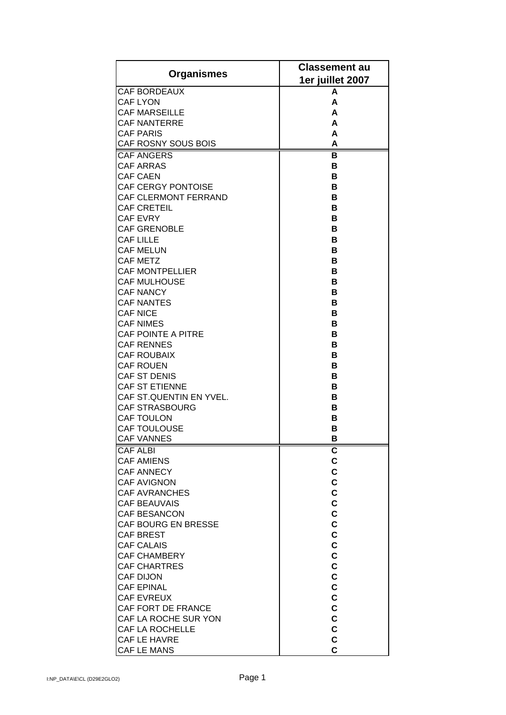| <b>Organismes</b>                                | <b>Classement au</b> |
|--------------------------------------------------|----------------------|
|                                                  | 1er juillet 2007     |
| <b>CAF BORDEAUX</b>                              | A                    |
| <b>CAF LYON</b>                                  | A                    |
| <b>CAF MARSEILLE</b>                             | A<br>A               |
| <b>CAF NANTERRE</b><br><b>CAF PARIS</b>          | A                    |
| CAF ROSNY SOUS BOIS                              | A                    |
| <b>CAF ANGERS</b>                                | в                    |
| <b>CAF ARRAS</b>                                 | в                    |
| <b>CAF CAEN</b>                                  | в                    |
| <b>CAF CERGY PONTOISE</b>                        | в                    |
| <b>CAF CLERMONT FERRAND</b>                      | в                    |
| <b>CAF CRETEIL</b>                               | в                    |
| <b>CAF EVRY</b>                                  | в                    |
| <b>CAF GRENOBLE</b>                              | в                    |
| <b>CAF LILLE</b>                                 | в                    |
| <b>CAF MELUN</b>                                 | в                    |
| <b>CAF METZ</b>                                  | в                    |
| <b>CAF MONTPELLIER</b>                           | в                    |
| <b>CAF MULHOUSE</b>                              | в                    |
| <b>CAF NANCY</b>                                 | в                    |
| <b>CAF NANTES</b>                                | в                    |
| <b>CAF NICE</b>                                  | в                    |
| <b>CAF NIMES</b>                                 | в                    |
| <b>CAF POINTE A PITRE</b>                        | в                    |
| <b>CAF RENNES</b>                                | в                    |
| <b>CAF ROUBAIX</b>                               | в                    |
| <b>CAF ROUEN</b>                                 | в                    |
| CAF ST DENIS                                     | в                    |
| <b>CAF ST ETIENNE</b>                            | в                    |
| CAF ST.QUENTIN EN YVEL.<br><b>CAF STRASBOURG</b> | в<br>в               |
| <b>CAF TOULON</b>                                | в                    |
| <b>CAF TOULOUSE</b>                              | B                    |
| <b>CAF VANNES</b>                                | B                    |
| <b>CAF ALBI</b>                                  | C                    |
| <b>CAF AMIENS</b>                                | C                    |
| <b>CAF ANNECY</b>                                | C                    |
| <b>CAF AVIGNON</b>                               | C                    |
| <b>CAF AVRANCHES</b>                             | C                    |
| <b>CAF BEAUVAIS</b>                              | C                    |
| <b>CAF BESANCON</b>                              | C                    |
| CAF BOURG EN BRESSE                              | C                    |
| <b>CAF BREST</b>                                 | C                    |
| <b>CAF CALAIS</b>                                | C                    |
| <b>CAF CHAMBERY</b>                              | C                    |
| <b>CAF CHARTRES</b>                              | C                    |
| <b>CAF DIJON</b>                                 | C                    |
| <b>CAF EPINAL</b>                                | C                    |
| <b>CAF EVREUX</b>                                | C                    |
| <b>CAF FORT DE FRANCE</b>                        | C                    |
| <b>CAF LA ROCHE SUR YON</b>                      | C                    |
| <b>CAF LA ROCHELLE</b><br><b>CAF LE HAVRE</b>    | C<br>C               |
| CAF LE MANS                                      | C                    |
|                                                  |                      |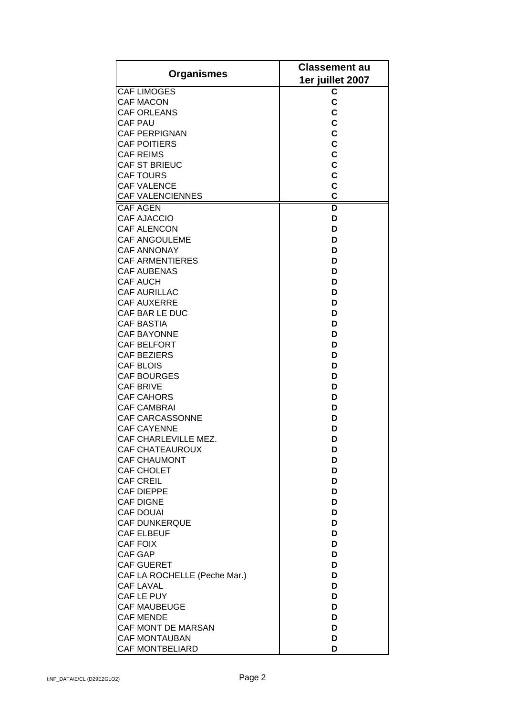| <b>Organismes</b>                         | <b>Classement au</b> |
|-------------------------------------------|----------------------|
|                                           | 1er juillet 2007     |
| <b>CAF LIMOGES</b>                        | C                    |
| <b>CAF MACON</b>                          | C                    |
| <b>CAF ORLEANS</b>                        | C                    |
| <b>CAF PAU</b>                            | $\mathbf c$          |
| <b>CAF PERPIGNAN</b>                      | $\mathbf c$          |
| <b>CAF POITIERS</b>                       | C                    |
| <b>CAF REIMS</b>                          | C                    |
| <b>CAF ST BRIEUC</b>                      | C                    |
| <b>CAF TOURS</b>                          | C                    |
| <b>CAF VALENCE</b>                        | $\mathbf c$          |
| <b>CAF VALENCIENNES</b>                   | $\overline{c}$       |
| <b>CAF AGEN</b>                           | D                    |
| <b>CAF AJACCIO</b>                        | D                    |
| <b>CAF ALENCON</b>                        | D                    |
| <b>CAF ANGOULEME</b>                      | D                    |
| <b>CAF ANNONAY</b>                        | D                    |
| <b>CAF ARMENTIERES</b>                    | D<br>D               |
| <b>CAF AUBENAS</b><br><b>CAF AUCH</b>     | D                    |
| <b>CAF AURILLAC</b>                       | D                    |
| <b>CAF AUXERRE</b>                        | D                    |
| CAF BAR LE DUC                            | D                    |
| <b>CAF BASTIA</b>                         | D                    |
| <b>CAF BAYONNE</b>                        | D                    |
| CAF BELFORT                               | D                    |
| <b>CAF BEZIERS</b>                        | D                    |
| <b>CAF BLOIS</b>                          | D                    |
| <b>CAF BOURGES</b>                        | D                    |
| <b>CAF BRIVE</b>                          | D                    |
| <b>CAF CAHORS</b>                         | D                    |
| <b>CAF CAMBRAI</b>                        | D                    |
| CAF CARCASSONNE                           | D                    |
| <b>CAF CAYENNE</b>                        | D                    |
| CAF CHARLEVILLE MEZ.                      | D                    |
| <b>CAF CHATEAUROUX</b>                    | D                    |
| <b>CAF CHAUMONT</b>                       | D                    |
| <b>CAF CHOLET</b>                         | D                    |
| <b>CAF CREIL</b>                          | D                    |
| <b>CAF DIEPPE</b>                         | D                    |
| <b>CAF DIGNE</b>                          | D                    |
| <b>CAF DOUAI</b>                          | D                    |
| <b>CAF DUNKERQUE</b><br><b>CAF ELBEUF</b> | D<br>D               |
| <b>CAF FOIX</b>                           | D                    |
| <b>CAF GAP</b>                            | D                    |
| <b>CAF GUERET</b>                         | D                    |
| CAF LA ROCHELLE (Peche Mar.)              | D                    |
| <b>CAF LAVAL</b>                          | D                    |
| CAF LE PUY                                | D                    |
| <b>CAF MAUBEUGE</b>                       | D                    |
| <b>CAF MENDE</b>                          | D                    |
| CAF MONT DE MARSAN                        | D                    |
| <b>CAF MONTAUBAN</b>                      | D                    |
| <b>CAF MONTBELIARD</b>                    | D                    |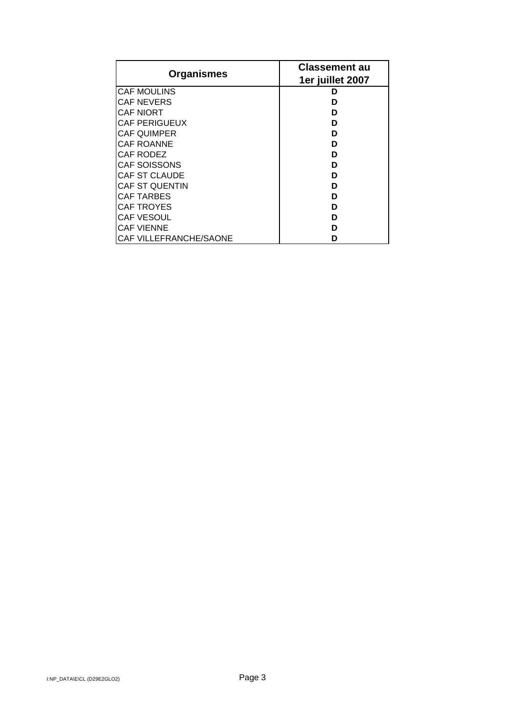| <b>Organismes</b>      | <b>Classement au</b> |
|------------------------|----------------------|
|                        | 1er juillet 2007     |
| <b>CAF MOULINS</b>     | n                    |
| <b>CAF NEVERS</b>      | n                    |
| <b>CAF NIORT</b>       | n                    |
| <b>CAF PERIGUEUX</b>   | ח                    |
| <b>CAF QUIMPER</b>     | ח                    |
| <b>CAF ROANNE</b>      | ח                    |
| CAF RODEZ              | ח                    |
| <b>CAF SOISSONS</b>    | ח                    |
| <b>CAF ST CLAUDE</b>   | ח                    |
| <b>CAF ST QUENTIN</b>  | ח                    |
| <b>CAF TARBES</b>      | n                    |
| <b>CAF TROYES</b>      | n                    |
| <b>CAF VESOUL</b>      | ח                    |
| <b>CAF VIENNE</b>      | n                    |
| CAF VILLEFRANCHE/SAONE |                      |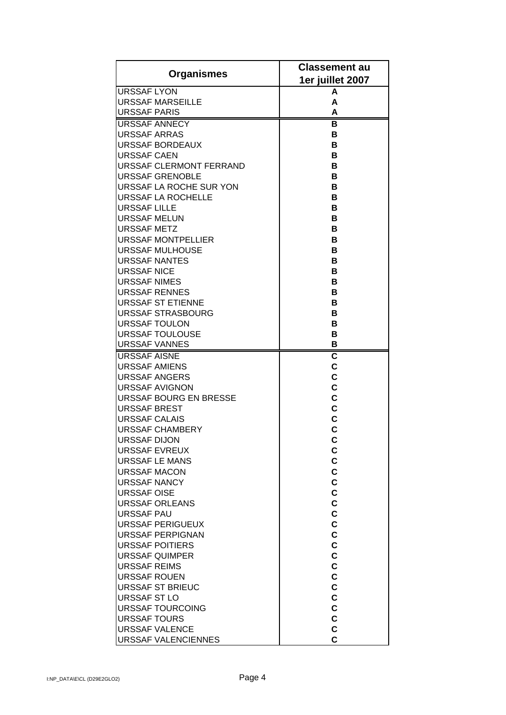|                                          | <b>Classement au</b>    |
|------------------------------------------|-------------------------|
| <b>Organismes</b>                        | 1er juillet 2007        |
| <b>URSSAF LYON</b>                       | A                       |
| URSSAF MARSEILLE                         | A                       |
| <b>URSSAF PARIS</b>                      | A                       |
| <b>URSSAF ANNECY</b>                     | в                       |
| <b>URSSAF ARRAS</b>                      | в                       |
| URSSAF BORDEAUX                          | в                       |
| <b>URSSAF CAEN</b>                       | в                       |
| <b>URSSAF CLERMONT FERRAND</b>           | в                       |
| <b>URSSAF GRENOBLE</b>                   | в                       |
| <b>URSSAF LA ROCHE SUR YON</b>           | в                       |
| <b>URSSAF LA ROCHELLE</b>                | в                       |
| <b>URSSAF LILLE</b>                      | в                       |
| URSSAF MELUN                             | в                       |
| <b>URSSAF METZ</b>                       | B                       |
| <b>URSSAF MONTPELLIER</b>                | В                       |
| URSSAF MULHOUSE                          | B                       |
| URSSAF NANTES                            | в                       |
| <b>URSSAF NICE</b>                       | в                       |
| URSSAF NIMES                             | в                       |
| URSSAF RENNES                            | в                       |
| <b>URSSAF ST ETIENNE</b>                 | в                       |
| <b>URSSAF STRASBOURG</b>                 | в                       |
| <b>URSSAF TOULON</b>                     | в                       |
| <b>URSSAF TOULOUSE</b>                   | в                       |
| <b>URSSAF VANNES</b>                     | в                       |
| <b>URSSAF AISNE</b>                      | $\overline{\mathbf{c}}$ |
| <b>URSSAF AMIENS</b>                     | $\mathbf c$             |
| <b>URSSAF ANGERS</b>                     | C                       |
| URSSAF AVIGNON                           | C                       |
| URSSAF BOURG EN BRESSE                   | C                       |
| <b>URSSAF BREST</b>                      | C<br>C                  |
| URSSAF CALAIS<br><b> URSSAF CHAMBERY</b> | $\overline{c}$          |
| URSSAF DIJON                             | C                       |
| <b>URSSAF EVREUX</b>                     | C                       |
| URSSAF LE MANS                           | C                       |
| <b>URSSAF MACON</b>                      | C                       |
| <b>URSSAF NANCY</b>                      | C                       |
| <b>URSSAF OISE</b>                       | C                       |
| URSSAF ORLEANS                           | C                       |
| <b>URSSAF PAU</b>                        | C                       |
| <b>URSSAF PERIGUEUX</b>                  | C                       |
| URSSAF PERPIGNAN                         | C                       |
| <b>URSSAF POITIERS</b>                   | C                       |
| <b>URSSAF QUIMPER</b>                    | C                       |
| <b>URSSAF REIMS</b>                      | C                       |
| URSSAF ROUEN                             | C                       |
| URSSAF ST BRIEUC                         | C                       |
| URSSAF ST LO                             | C                       |
| URSSAF TOURCOING                         | C                       |
| <b>URSSAF TOURS</b>                      | C                       |
| <b>URSSAF VALENCE</b>                    | Ċ                       |
| <b>URSSAF VALENCIENNES</b>               | Ć                       |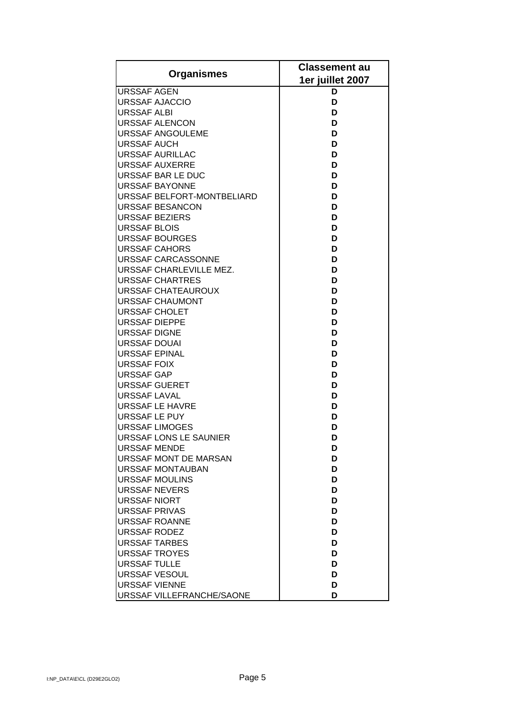|                                               | <b>Classement au</b> |
|-----------------------------------------------|----------------------|
| <b>Organismes</b>                             | 1er juillet 2007     |
| <b>URSSAF AGEN</b>                            | D                    |
| <b>URSSAF AJACCIO</b>                         | D                    |
| <b>URSSAF ALBI</b>                            | D                    |
| <b>URSSAF ALENCON</b>                         | D                    |
| <b>URSSAF ANGOULEME</b>                       | D                    |
| URSSAF AUCH                                   | D                    |
| <b>URSSAF AURILLAC</b>                        | D                    |
| <b>URSSAF AUXERRE</b>                         | D                    |
| URSSAF BAR LE DUC                             | D                    |
| URSSAF BAYONNE                                | D                    |
| URSSAF BELFORT-MONTBELIARD                    | D                    |
| URSSAF BESANCON                               | D                    |
| <b>URSSAF BEZIERS</b>                         | D                    |
| <b>URSSAF BLOIS</b>                           | D                    |
| <b>URSSAF BOURGES</b>                         | D                    |
| <b>URSSAF CAHORS</b>                          | D                    |
| URSSAF CARCASSONNE                            | D                    |
| URSSAF CHARLEVILLE MEZ.                       | D                    |
| URSSAF CHARTRES                               | D                    |
| URSSAF CHATEAUROUX                            | D                    |
| URSSAF CHAUMONT                               | D                    |
| URSSAF CHOLET                                 | D                    |
| <b>URSSAF DIEPPE</b>                          | D                    |
| <b>URSSAF DIGNE</b>                           | D                    |
| URSSAF DOUAI                                  | D                    |
| URSSAF EPINAL                                 | D                    |
| <b>URSSAF FOIX</b>                            | D                    |
| <b>URSSAF GAP</b>                             | D                    |
| <b>URSSAF GUERET</b>                          | D                    |
| URSSAF LAVAL                                  | D                    |
| <b>URSSAF LE HAVRE</b>                        | D                    |
| URSSAF LE PUY<br><b>URSSAF LIMOGES</b>        | D<br>D               |
|                                               |                      |
| URSSAF LONS LE SAUNIER<br><b>URSSAF MENDE</b> | D                    |
| URSSAF MONT DE MARSAN                         | D<br>D               |
| <b>URSSAF MONTAUBAN</b>                       | D                    |
| URSSAF MOULINS                                | D                    |
| URSSAF NEVERS                                 | D                    |
| URSSAF NIORT                                  | D                    |
| <b>URSSAF PRIVAS</b>                          | D                    |
| <b>URSSAF ROANNE</b>                          | D                    |
| URSSAF RODEZ                                  | D                    |
| <b>URSSAF TARBES</b>                          | D                    |
| URSSAF TROYES                                 | D                    |
| <b>URSSAF TULLE</b>                           | D                    |
| URSSAF VESOUL                                 | D                    |
| <b>URSSAF VIENNE</b>                          | D                    |
| URSSAF VILLEFRANCHE/SAONE                     | D                    |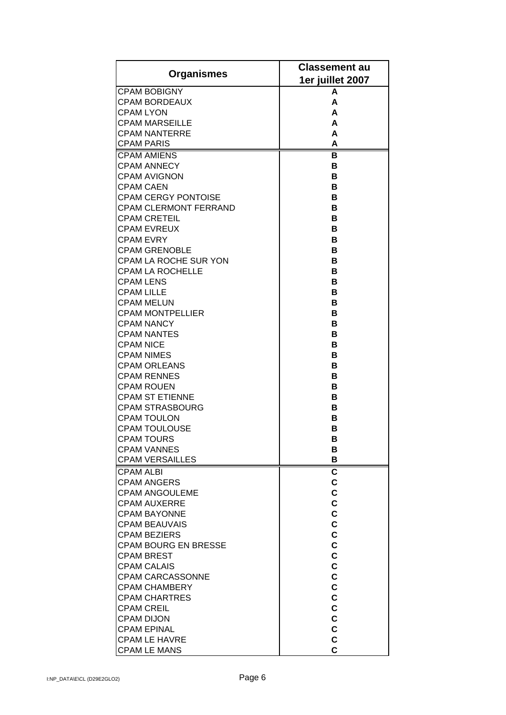|                                              | <b>Classement au</b> |
|----------------------------------------------|----------------------|
| <b>Organismes</b>                            | 1er juillet 2007     |
| <b>CPAM BOBIGNY</b>                          | A                    |
| <b>CPAM BORDEAUX</b>                         | A                    |
| <b>CPAM LYON</b>                             | A                    |
| <b>CPAM MARSEILLE</b>                        | A                    |
| <b>CPAM NANTERRE</b>                         | A                    |
| <b>CPAM PARIS</b><br><b>CPAM AMIENS</b>      | A<br>в               |
| <b>CPAM ANNECY</b>                           | в                    |
| <b>CPAM AVIGNON</b>                          | в                    |
| <b>CPAM CAEN</b>                             | в                    |
| <b>CPAM CERGY PONTOISE</b>                   | в                    |
| <b>CPAM CLERMONT FERRAND</b>                 | в                    |
| <b>CPAM CRETEIL</b>                          | в                    |
| <b>CPAM EVREUX</b>                           | В                    |
| <b>CPAM EVRY</b>                             | В                    |
| <b>CPAM GRENOBLE</b>                         | в                    |
| <b>CPAM LA ROCHE SUR YON</b>                 | в                    |
| <b>CPAM LA ROCHELLE</b>                      | в                    |
| <b>CPAM LENS</b>                             | в                    |
| <b>CPAM LILLE</b><br><b>CPAM MELUN</b>       | в<br>в               |
| <b>CPAM MONTPELLIER</b>                      | в                    |
| <b>CPAM NANCY</b>                            | в                    |
| <b>CPAM NANTES</b>                           | в                    |
| <b>CPAM NICE</b>                             | в                    |
| <b>CPAM NIMES</b>                            | в                    |
| <b>CPAM ORLEANS</b>                          | в                    |
| <b>CPAM RENNES</b>                           | в                    |
| <b>CPAM ROUEN</b>                            | в                    |
| <b>CPAM ST ETIENNE</b>                       | в                    |
| <b>CPAM STRASBOURG</b>                       | в                    |
| <b>CPAM TOULON</b>                           | в                    |
| <b>CPAM TOULOUSE</b>                         | в                    |
| <b>CPAM TOURS</b>                            | В                    |
| <b>CPAM VANNES</b><br><b>CPAM VERSAILLES</b> | В<br>В               |
| <b>CPAM ALBI</b>                             | C                    |
| <b>CPAM ANGERS</b>                           | C                    |
| <b>CPAM ANGOULEME</b>                        | C                    |
| <b>CPAM AUXERRE</b>                          | C                    |
| <b>CPAM BAYONNE</b>                          | C                    |
| <b>CPAM BEAUVAIS</b>                         | C                    |
| <b>CPAM BEZIERS</b>                          | C                    |
| <b>CPAM BOURG EN BRESSE</b>                  | C                    |
| <b>CPAM BREST</b>                            | C                    |
| <b>CPAM CALAIS</b>                           | C                    |
| <b>CPAM CARCASSONNE</b>                      | C                    |
| <b>CPAM CHAMBERY</b>                         | C<br>C               |
| <b>CPAM CHARTRES</b><br><b>CPAM CREIL</b>    | C                    |
| <b>CPAM DIJON</b>                            | C                    |
| <b>CPAM EPINAL</b>                           | C                    |
| <b>CPAM LE HAVRE</b>                         | C                    |
| <b>CPAM LE MANS</b>                          | C                    |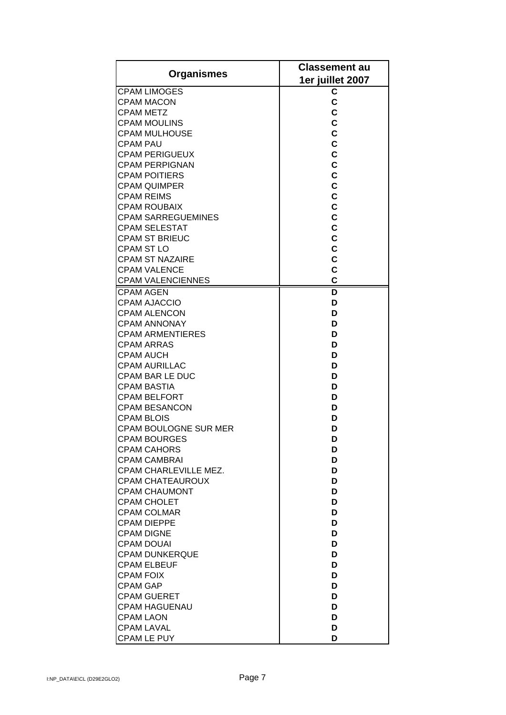| <b>Organismes</b><br>1er juillet 2007<br><b>CPAM LIMOGES</b><br>C<br>C<br><b>CPAM MACON</b><br>C<br><b>CPAM METZ</b><br>C<br><b>CPAM MOULINS</b><br>C<br>CPAM MULHOUSE<br>C<br><b>CPAM PAU</b><br>C<br><b>CPAM PERIGUEUX</b><br>C<br><b>CPAM PERPIGNAN</b><br>C<br><b>CPAM POITIERS</b><br>C<br><b>CPAM QUIMPER</b><br>C<br><b>CPAM REIMS</b><br>C<br><b>CPAM ROUBAIX</b><br>C<br><b>CPAM SARREGUEMINES</b><br>$\mathbf C$<br><b>CPAM SELESTAT</b><br>$\mathbf c$<br><b>CPAM ST BRIEUC</b><br>C<br><b>CPAM ST LO</b><br>C<br><b>CPAM ST NAZAIRE</b><br>$\mathbf c$<br><b>CPAM VALENCE</b><br>C<br><b>CPAM VALENCIENNES</b><br>D<br><b>CPAM AGEN</b> |
|-----------------------------------------------------------------------------------------------------------------------------------------------------------------------------------------------------------------------------------------------------------------------------------------------------------------------------------------------------------------------------------------------------------------------------------------------------------------------------------------------------------------------------------------------------------------------------------------------------------------------------------------------------|
|                                                                                                                                                                                                                                                                                                                                                                                                                                                                                                                                                                                                                                                     |
|                                                                                                                                                                                                                                                                                                                                                                                                                                                                                                                                                                                                                                                     |
|                                                                                                                                                                                                                                                                                                                                                                                                                                                                                                                                                                                                                                                     |
|                                                                                                                                                                                                                                                                                                                                                                                                                                                                                                                                                                                                                                                     |
|                                                                                                                                                                                                                                                                                                                                                                                                                                                                                                                                                                                                                                                     |
|                                                                                                                                                                                                                                                                                                                                                                                                                                                                                                                                                                                                                                                     |
|                                                                                                                                                                                                                                                                                                                                                                                                                                                                                                                                                                                                                                                     |
|                                                                                                                                                                                                                                                                                                                                                                                                                                                                                                                                                                                                                                                     |
|                                                                                                                                                                                                                                                                                                                                                                                                                                                                                                                                                                                                                                                     |
|                                                                                                                                                                                                                                                                                                                                                                                                                                                                                                                                                                                                                                                     |
|                                                                                                                                                                                                                                                                                                                                                                                                                                                                                                                                                                                                                                                     |
|                                                                                                                                                                                                                                                                                                                                                                                                                                                                                                                                                                                                                                                     |
|                                                                                                                                                                                                                                                                                                                                                                                                                                                                                                                                                                                                                                                     |
|                                                                                                                                                                                                                                                                                                                                                                                                                                                                                                                                                                                                                                                     |
|                                                                                                                                                                                                                                                                                                                                                                                                                                                                                                                                                                                                                                                     |
|                                                                                                                                                                                                                                                                                                                                                                                                                                                                                                                                                                                                                                                     |
|                                                                                                                                                                                                                                                                                                                                                                                                                                                                                                                                                                                                                                                     |
|                                                                                                                                                                                                                                                                                                                                                                                                                                                                                                                                                                                                                                                     |
|                                                                                                                                                                                                                                                                                                                                                                                                                                                                                                                                                                                                                                                     |
|                                                                                                                                                                                                                                                                                                                                                                                                                                                                                                                                                                                                                                                     |
|                                                                                                                                                                                                                                                                                                                                                                                                                                                                                                                                                                                                                                                     |
| <b>CPAM AJACCIO</b><br>D                                                                                                                                                                                                                                                                                                                                                                                                                                                                                                                                                                                                                            |
| <b>CPAM ALENCON</b><br>D                                                                                                                                                                                                                                                                                                                                                                                                                                                                                                                                                                                                                            |
| <b>CPAM ANNONAY</b><br>D                                                                                                                                                                                                                                                                                                                                                                                                                                                                                                                                                                                                                            |
| <b>CPAM ARMENTIERES</b><br>D                                                                                                                                                                                                                                                                                                                                                                                                                                                                                                                                                                                                                        |
| <b>CPAM ARRAS</b><br>D                                                                                                                                                                                                                                                                                                                                                                                                                                                                                                                                                                                                                              |
| <b>CPAM AUCH</b><br>D                                                                                                                                                                                                                                                                                                                                                                                                                                                                                                                                                                                                                               |
| <b>CPAM AURILLAC</b><br>D                                                                                                                                                                                                                                                                                                                                                                                                                                                                                                                                                                                                                           |
| <b>CPAM BAR LE DUC</b><br>D                                                                                                                                                                                                                                                                                                                                                                                                                                                                                                                                                                                                                         |
| <b>CPAM BASTIA</b><br>D<br>D                                                                                                                                                                                                                                                                                                                                                                                                                                                                                                                                                                                                                        |
| <b>CPAM BELFORT</b><br><b>CPAM BESANCON</b><br>D                                                                                                                                                                                                                                                                                                                                                                                                                                                                                                                                                                                                    |
|                                                                                                                                                                                                                                                                                                                                                                                                                                                                                                                                                                                                                                                     |
| <b>CPAM BLOIS</b><br>D<br>CPAM BOULOGNE SUR MER<br>D                                                                                                                                                                                                                                                                                                                                                                                                                                                                                                                                                                                                |
| CPAM BOURGES<br>D                                                                                                                                                                                                                                                                                                                                                                                                                                                                                                                                                                                                                                   |
| <b>CPAM CAHORS</b>                                                                                                                                                                                                                                                                                                                                                                                                                                                                                                                                                                                                                                  |
| D<br>D<br><b>CPAM CAMBRAI</b>                                                                                                                                                                                                                                                                                                                                                                                                                                                                                                                                                                                                                       |
| CPAM CHARLEVILLE MEZ.<br>D                                                                                                                                                                                                                                                                                                                                                                                                                                                                                                                                                                                                                          |
| <b>CPAM CHATEAUROUX</b><br>D                                                                                                                                                                                                                                                                                                                                                                                                                                                                                                                                                                                                                        |
| D<br><b>CPAM CHAUMONT</b>                                                                                                                                                                                                                                                                                                                                                                                                                                                                                                                                                                                                                           |
| <b>CPAM CHOLET</b><br>D                                                                                                                                                                                                                                                                                                                                                                                                                                                                                                                                                                                                                             |
| <b>CPAM COLMAR</b><br>D                                                                                                                                                                                                                                                                                                                                                                                                                                                                                                                                                                                                                             |
| <b>CPAM DIEPPE</b><br>D                                                                                                                                                                                                                                                                                                                                                                                                                                                                                                                                                                                                                             |
| D<br><b>CPAM DIGNE</b>                                                                                                                                                                                                                                                                                                                                                                                                                                                                                                                                                                                                                              |
| <b>CPAM DOUAI</b><br>D                                                                                                                                                                                                                                                                                                                                                                                                                                                                                                                                                                                                                              |
| <b>CPAM DUNKERQUE</b><br>D                                                                                                                                                                                                                                                                                                                                                                                                                                                                                                                                                                                                                          |
| <b>CPAM ELBEUF</b><br>D                                                                                                                                                                                                                                                                                                                                                                                                                                                                                                                                                                                                                             |
| <b>CPAM FOIX</b><br>D                                                                                                                                                                                                                                                                                                                                                                                                                                                                                                                                                                                                                               |
| <b>CPAM GAP</b><br>D                                                                                                                                                                                                                                                                                                                                                                                                                                                                                                                                                                                                                                |
| <b>CPAM GUERET</b><br>D                                                                                                                                                                                                                                                                                                                                                                                                                                                                                                                                                                                                                             |
| <b>CPAM HAGUENAU</b><br>D                                                                                                                                                                                                                                                                                                                                                                                                                                                                                                                                                                                                                           |
| <b>CPAM LAON</b><br>D                                                                                                                                                                                                                                                                                                                                                                                                                                                                                                                                                                                                                               |
| <b>CPAM LAVAL</b><br>D                                                                                                                                                                                                                                                                                                                                                                                                                                                                                                                                                                                                                              |
| <b>CPAM LE PUY</b><br>D                                                                                                                                                                                                                                                                                                                                                                                                                                                                                                                                                                                                                             |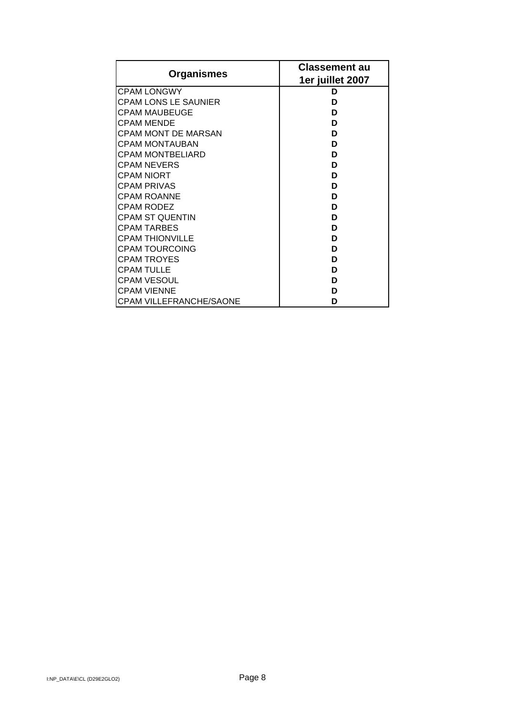|                                | <b>Classement au</b> |
|--------------------------------|----------------------|
| <b>Organismes</b>              | 1er juillet 2007     |
| <b>CPAM LONGWY</b>             | D                    |
| <b>CPAM LONS LE SAUNIER</b>    | D                    |
| CPAM MAUBEUGE                  | D                    |
| <b>CPAM MENDE</b>              | D                    |
| <b>CPAM MONT DE MARSAN</b>     | D                    |
| <b>CPAM MONTAUBAN</b>          | D                    |
| CPAM MONTBELIARD               | D                    |
| <b>CPAM NEVERS</b>             | D                    |
| <b>CPAM NIORT</b>              | D                    |
| CPAM PRIVAS                    | D                    |
| <b>CPAM ROANNE</b>             | D                    |
| CPAM RODEZ                     | D                    |
| <b>CPAM ST QUENTIN</b>         | D                    |
| CPAM TARBES                    | D                    |
| <b>CPAM THIONVILLE</b>         | D                    |
| CPAM TOURCOING                 | D                    |
| <b>CPAM TROYES</b>             | D                    |
| <b>CPAM TULLE</b>              | D                    |
| <b>CPAM VESOUL</b>             | D                    |
| <b>CPAM VIENNE</b>             | D                    |
| <b>CPAM VILLEFRANCHE/SAONE</b> | D                    |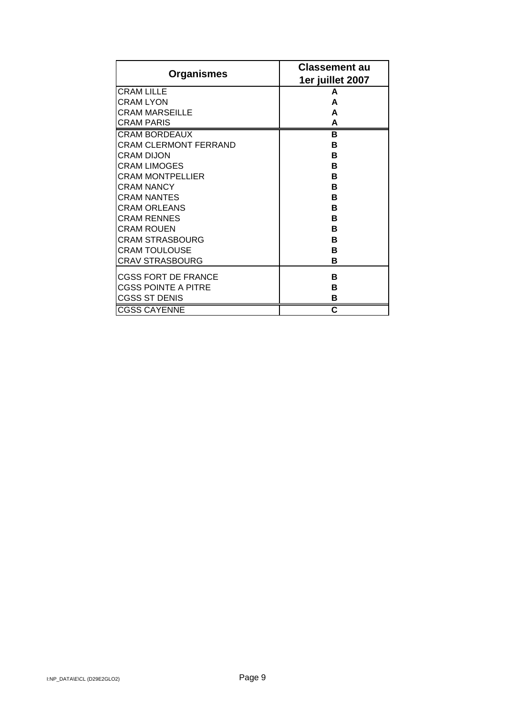| <b>Organismes</b>          | <b>Classement au</b><br>1er juillet 2007 |
|----------------------------|------------------------------------------|
| <b>CRAM LILLE</b>          | A                                        |
| <b>CRAM LYON</b>           | A                                        |
| CRAM MARSEILLE             | A                                        |
| <b>CRAM PARIS</b>          | A                                        |
| <b>CRAM BORDEAUX</b>       | в                                        |
| CRAM CLERMONT FERRAND      | в                                        |
| CRAM DIJON                 | в                                        |
| <b>CRAM LIMOGES</b>        | в                                        |
| <b>CRAM MONTPELLIER</b>    | в                                        |
| <b>CRAM NANCY</b>          | в                                        |
| <b>CRAM NANTES</b>         | B                                        |
| <b>CRAM ORLEANS</b>        | в                                        |
| <b>CRAM RENNES</b>         | в                                        |
| <b>CRAM ROUEN</b>          | в                                        |
| <b>CRAM STRASBOURG</b>     | в                                        |
| <b>CRAM TOULOUSE</b>       | в                                        |
| <b>CRAV STRASBOURG</b>     | в                                        |
| <b>CGSS FORT DE FRANCE</b> | в                                        |
| <b>CGSS POINTE A PITRE</b> | в                                        |
| <b>CGSS ST DENIS</b>       | в                                        |
| <b>CGSS CAYENNE</b>        | C                                        |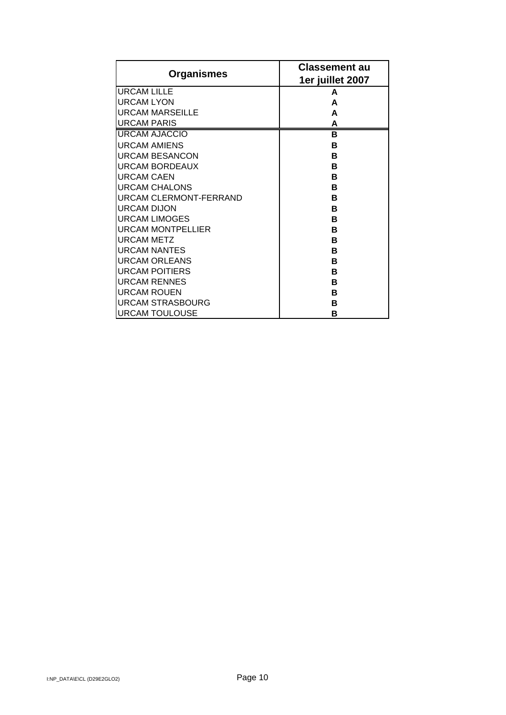| Organismes                    | <b>Classement au</b><br>1er juillet 2007 |
|-------------------------------|------------------------------------------|
| <b>URCAM LILLE</b>            | A                                        |
| <b>URCAM LYON</b>             | A                                        |
| <b>URCAM MARSEILLE</b>        | A                                        |
| <b>URCAM PARIS</b>            | A                                        |
| URCAM AJACCIO                 | в                                        |
| <b>URCAM AMIENS</b>           | в                                        |
| URCAM BESANCON                | в                                        |
| <b>URCAM BORDEAUX</b>         | в                                        |
| <b>URCAM CAEN</b>             | в                                        |
| <b>URCAM CHALONS</b>          | в                                        |
| <b>URCAM CLERMONT-FERRAND</b> | в                                        |
| <b>URCAM DIJON</b>            | в                                        |
| <b>URCAM LIMOGES</b>          | в                                        |
| <b>IURCAM MONTPELLIER</b>     | R                                        |
| <b>URCAM METZ</b>             | в                                        |
| <b>IURCAM NANTES</b>          | в                                        |
| <b>URCAM ORLEANS</b>          | в                                        |
| <b>URCAM POITIERS</b>         | в                                        |
| <b>URCAM RENNES</b>           | в                                        |
| <b>URCAM ROUEN</b>            | в                                        |
| <b>URCAM STRASBOURG</b>       | в                                        |
| <b>URCAM TOULOUSE</b>         | в                                        |